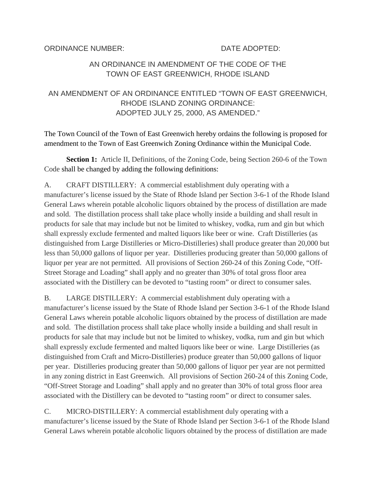ORDINANCE NUMBER: DATE ADOPTED:

### AN ORDINANCE IN AMENDMENT OF THE CODE OF THE TOWN OF EAST GREENWICH, RHODE ISLAND

## AN AMENDMENT OF AN ORDINANCE ENTITLED "TOWN OF EAST GREENWICH, RHODE ISLAND ZONING ORDINANCE: ADOPTED JULY 25, 2000, AS AMENDED."

The Town Council of the Town of East Greenwich hereby ordains the following is proposed for amendment to the Town of East Greenwich Zoning Ordinance within the Municipal Code.

**Section 1:** Article II, Definitions, of the Zoning Code, being Section 260-6 of the Town Code shall be changed by adding the following definitions:

A. CRAFT DISTILLERY: A commercial establishment duly operating with a manufacturer's license issued by the State of Rhode Island per Section 3-6-1 of the Rhode Island General Laws wherein potable alcoholic liquors obtained by the process of distillation are made and sold. The distillation process shall take place wholly inside a building and shall result in products for sale that may include but not be limited to whiskey, vodka, rum and gin but which shall expressly exclude fermented and malted liquors like beer or wine. Craft Distilleries (as distinguished from Large Distilleries or Micro-Distilleries) shall produce greater than 20,000 but less than 50,000 gallons of liquor per year. Distilleries producing greater than 50,000 gallons of liquor per year are not permitted. All provisions of Section 260-24 of this Zoning Code, "Off-Street Storage and Loading" shall apply and no greater than 30% of total gross floor area associated with the Distillery can be devoted to "tasting room" or direct to consumer sales.

B. LARGE DISTILLERY: A commercial establishment duly operating with a manufacturer's license issued by the State of Rhode Island per Section 3-6-1 of the Rhode Island General Laws wherein potable alcoholic liquors obtained by the process of distillation are made and sold. The distillation process shall take place wholly inside a building and shall result in products for sale that may include but not be limited to whiskey, vodka, rum and gin but which shall expressly exclude fermented and malted liquors like beer or wine. Large Distilleries (as distinguished from Craft and Micro-Distilleries) produce greater than 50,000 gallons of liquor per year. Distilleries producing greater than 50,000 gallons of liquor per year are not permitted in any zoning district in East Greenwich. All provisions of Section 260-24 of this Zoning Code, "Off-Street Storage and Loading" shall apply and no greater than 30% of total gross floor area associated with the Distillery can be devoted to "tasting room" or direct to consumer sales.

C. MICRO-DISTILLERY: A commercial establishment duly operating with a manufacturer's license issued by the State of Rhode Island per Section 3-6-1 of the Rhode Island General Laws wherein potable alcoholic liquors obtained by the process of distillation are made